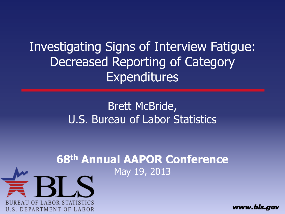Investigating Signs of Interview Fatigue: Decreased Reporting of Category Expenditures

> Brett McBride, U.S. Bureau of Labor Statistics

#### **68th Annual AAPOR Conference** May 19, 2013

**REAU OF LABOR STATIS** 

**U.S. DEPARTMENT OF LABOR** 

www.bls.gov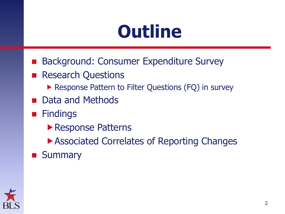### **Outline**

- Background: Consumer Expenditure Survey
- **Research Questions** 
	- ▶ Response Pattern to Filter Questions (FQ) in survey
- **Data and Methods**
- **Findings** 
	- **Response Patterns**
	- ▶ Associated Correlates of Reporting Changes
- **Summary**

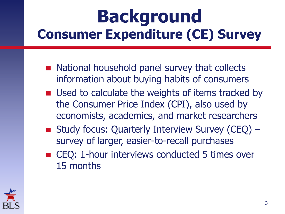#### **Background Consumer Expenditure (CE) Survey**

- National household panel survey that collects information about buying habits of consumers
- Used to calculate the weights of items tracked by the Consumer Price Index (CPI), also used by economists, academics, and market researchers
- Study focus: Quarterly Interview Survey (CEQ) survey of larger, easier-to-recall purchases
- CEQ: 1-hour interviews conducted 5 times over 15 months

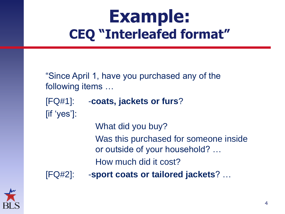#### **Example: CEQ "Interleafed format"**

"Since April 1, have you purchased any of the following items …

- [FQ#1]: -**coats, jackets or furs**? [if 'yes']:
	- What did you buy?

Was this purchased for someone inside or outside of your household? …

How much did it cost?

[FQ#2]: -**sport coats or tailored jackets**? …

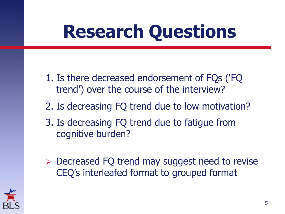# **Research Questions**

- 1. Is there decreased endorsement of FQs ('FQ trend') over the course of the interview?
- 2. Is decreasing FQ trend due to low motivation?
- 3. Is decreasing FQ trend due to fatigue from cognitive burden?
- **Decreased FQ trend may suggest need to revise** CEQ's interleafed format to grouped format

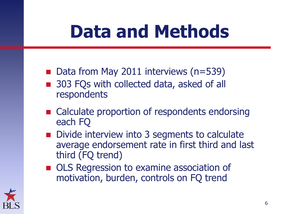### **Data and Methods**

- Data from May 2011 interviews  $(n=539)$
- 303 FQs with collected data, asked of all respondents
- Calculate proportion of respondents endorsing each FQ
- Divide interview into 3 segments to calculate average endorsement rate in first third and last third (FQ trend)
- **OLS Regression to examine association of** motivation, burden, controls on FQ trend

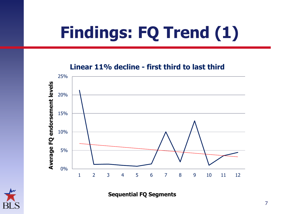## **Findings: FQ Trend (1)**

**Linear 11% decline - first third to last third**



**Sequential FQ Segments**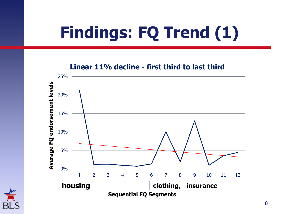## **Findings: FQ Trend (1)**

**Linear 11% decline - first third to last third**



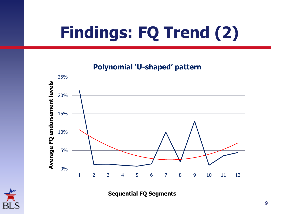## **Findings: FQ Trend (2)**

**Polynomial "U-shaped" pattern**



**Sequential FQ Segments**

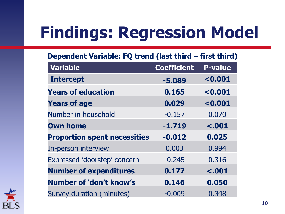| <b>Variable</b>                     | <b>Coefficient</b> | <b>P-value</b>     |  |
|-------------------------------------|--------------------|--------------------|--|
| <b>Intercept</b>                    | $-5.089$           | < 0.001<br>< 0.001 |  |
| <b>Years of education</b>           | 0.165              |                    |  |
| <b>Years of age</b>                 | 0.029              | < 0.001            |  |
| Number in household                 | $-0.157$           | 0.070              |  |
| <b>Own home</b>                     | $-1.719$           | < .001             |  |
| <b>Proportion spent necessities</b> | $-0.012$           | 0.025              |  |
| In-person interview                 | 0.003              | 0.994              |  |
| Expressed 'doorstep' concern        | $-0.245$           | 0.316              |  |
| <b>Number of expenditures</b>       | 0.177              | < .001             |  |
| Number of 'don't know's             | 0.146              | 0.050              |  |
| Survey duration (minutes)           | $-0.009$           | 0.348              |  |

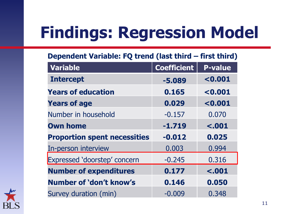| Variable                            | <b>Coefficient</b> | <b>P-value</b> |  |
|-------------------------------------|--------------------|----------------|--|
| <b>Intercept</b>                    | $-5.089$           | < 0.001        |  |
| <b>Years of education</b>           | 0.165              | < 0.001        |  |
| <b>Years of age</b>                 | 0.029              | < 0.001        |  |
| Number in household                 | $-0.157$           | 0.070          |  |
| <b>Own home</b>                     | $-1.719$           | $-.001$        |  |
| <b>Proportion spent necessities</b> | $-0.012$           | 0.025          |  |
| In-person interview                 | 0.003              | 0.994          |  |
| <b>Expressed 'doorstep' concern</b> | $-0.245$           | 0.316          |  |
| <b>Number of expenditures</b>       | 0.177              | $-.001$        |  |
| Number of 'don't know's             | 0.146              | 0.050          |  |
| Survey duration (min)               | $-0.009$           | 0.348          |  |

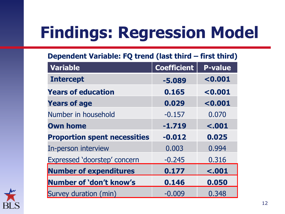| <b>Variable</b>                     | <b>Coefficient</b> | <b>P-value</b> |  |
|-------------------------------------|--------------------|----------------|--|
| <b>Intercept</b>                    | $-5.089$           | < 0.001        |  |
| <b>Years of education</b>           | 0.165              | < 0.001        |  |
| <b>Years of age</b>                 | 0.029              | < 0.001        |  |
| Number in household                 | $-0.157$           | 0.070          |  |
| <b>Own home</b>                     | $-1.719$           | $-.001$        |  |
| <b>Proportion spent necessities</b> | $-0.012$           | 0.025          |  |
| In-person interview                 | 0.003              | 0.994          |  |
| Expressed 'doorstep' concern        | $-0.245$           | 0.316          |  |
| <b>Number of expenditures</b>       | 0.177              | < .001         |  |
| Number of 'don't know's             | 0.146              | 0.050          |  |
| Survey duration (min)               | $-0.009$           | 0.348          |  |

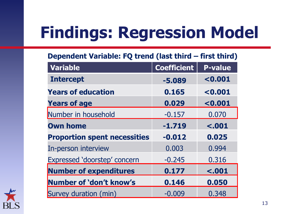| <b>Variable</b>                     | <b>Coefficient</b> | <b>P-value</b> |  |
|-------------------------------------|--------------------|----------------|--|
| <b>Intercept</b>                    | $-5.089$           | < 0.001        |  |
| <b>Years of education</b>           | 0.165              | < 0.001        |  |
| <b>Years of age</b>                 | 0.029              | < 0.001        |  |
| Number in household                 | $-0.157$           | 0.070          |  |
| <b>Own home</b>                     | $-1.719$           | $-.001$        |  |
| <b>Proportion spent necessities</b> | $-0.012$           | 0.025          |  |
| In-person interview                 | 0.003              | 0.994          |  |
| Expressed 'doorstep' concern        | $-0.245$           | 0.316          |  |
| <b>Number of expenditures</b>       | 0.177              | < .001         |  |
| Number of 'don't know's             | 0.146              | 0.050          |  |
| Survey duration (min)               | $-0.009$           | 0.348          |  |

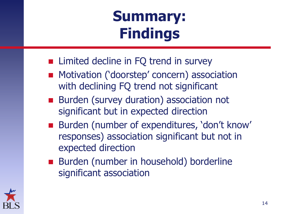#### **Summary: Findings**

- Limited decline in FQ trend in survey
- **Motivation ('doorstep' concern) association** with declining FQ trend not significant
- Burden (survey duration) association not significant but in expected direction
- Burden (number of expenditures, 'don't know' responses) association significant but not in expected direction
- Burden (number in household) borderline significant association

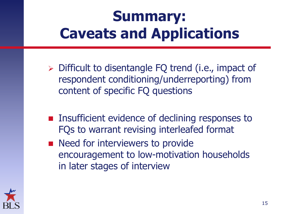#### **Summary: Caveats and Applications**

- ▶ Difficult to disentangle FQ trend (i.e., impact of respondent conditioning/underreporting) from content of specific FQ questions
- **Insufficient evidence of declining responses to** FQs to warrant revising interleafed format
- Need for interviewers to provide encouragement to low-motivation households in later stages of interview

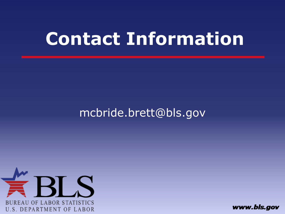#### **Contact Information**

#### mcbride.brett@bls.gov



www.bls.gov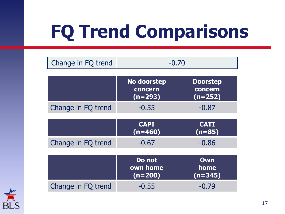# **FQ Trend Comparisons**

| Change in FQ trend | $-0.70$                                    |                                         |
|--------------------|--------------------------------------------|-----------------------------------------|
|                    |                                            |                                         |
|                    | <b>No doorstep</b><br>concern<br>$(n=293)$ | <b>Doorstep</b><br>concern<br>$(n=252)$ |
| Change in FQ trend | $-0.55$                                    | $-0.87$                                 |
|                    |                                            |                                         |
|                    | <b>CAPI</b><br>$(n=460)$                   | <b>CATI</b><br>$(n=85)$                 |
| Change in FQ trend | $-0.67$                                    | $-0.86$                                 |
|                    |                                            |                                         |
|                    | Do not<br>own home<br>$(n=200)$            | Own<br>home<br>$(n=345)$                |
| Change in FQ trend | $-0.55$                                    | $-0.79$                                 |